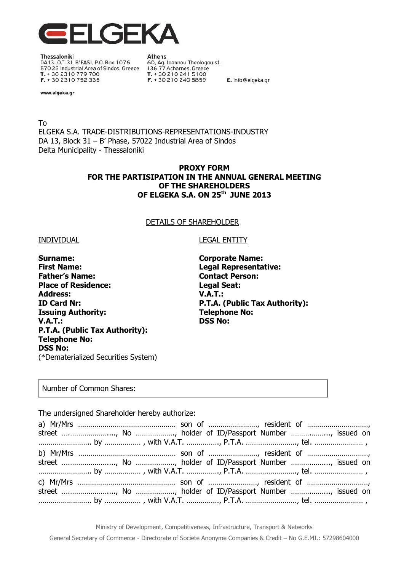

Thessaloniki DA13, O.T. 31, B'FASI, P.O. Box 1076 570 22 Industrial Area of Sindos, Greece T. + 30 2310 779 700 F. + 30 2310 752 335

**Athens** 60, Ag. Ioannou Theologou st. 136 77 Acharnes, Greece T. + 30 210 241 5100 F. + 30 210 240 5859

E. info@elgeka.gr

www.elgeka.gr

To ELGEKA S.A. TRADE-DISTRIBUTIONS-REPRESENTATIONS-INDUSTRY DA 13, Block 31 – B' Phase, 57022 Industrial Area of Sindos Delta Municipality - Thessaloniki

# **PROXY FORM FOR THE PARTISIPATION IN THE ANNUAL GENERAL MEETING OF THE SHAREHOLDERS OF ELGEKA S.A. ON 25 th JUNE 2013**

## DETAILS OF SHAREHOLDER

### INDIVIDUAL LEGAL ENTITY

**Surname: Corporate Name: First Name: Legal Representative: Father's Name: Contact Person: Place of Residence: Legal Seat: Address: V.A.T.: ID Card Nr: P.T.A. (Public Tax Authority): Issuing Authority:** Telephone No: **V.A.T.: DSS No: P.T.A. (Public Tax Authority): Telephone No: DSS No:** (\*Dematerialized Securities System)

### Number of Common Shares:

The undersigned Shareholder hereby authorize: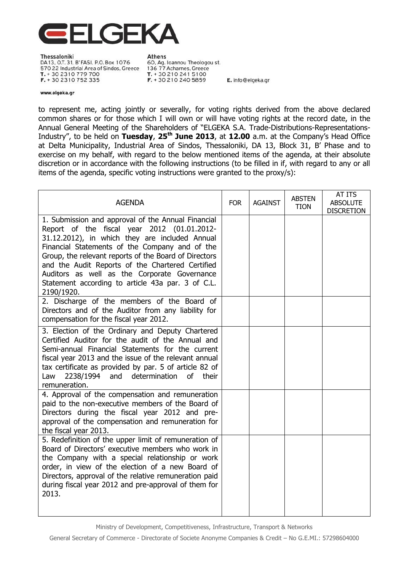

Thessaloniki DA13, O.T. 31, B'FASI, P.O. Box 1076 570 22 Industrial Area of Sindos, Greece T. + 30 2310 779 700 F. + 30 2310 752 335

**Athens** 60, Ag. Ioannou Theologou st. 136 77 Acharnes, Greece T. + 30 210 241 5100 F. + 30 210 240 5859

E. info@elgeka.gr

#### www.elgeka.gr

to represent me, acting jointly or severally, for voting rights derived from the above declared common shares or for those which I will own or will have voting rights at the record date, in the Annual General Meeting of the Shareholders of "ELGEKA S.A. Trade-Distributions-Representations-Industry", to be held on **Tuesday**, **25th June 2013**, at **12.00** a.m. at the Company's Head Office at Delta Municipality, Industrial Area of Sindos, Thessaloniki, DA 13, Block 31, B' Phase and to exercise on my behalf, with regard to the below mentioned items of the agenda, at their absolute discretion or in accordance with the following instructions (to be filled in if, with regard to any or all items of the agenda, specific voting instructions were granted to the proxy/s):

| <b>AGENDA</b>                                                                                                                                                                                                                                                                                                                                                                                                                         | <b>FOR</b> | <b>AGAINST</b> | <b>ABSTEN</b><br><b>TION</b> | AT ITS<br><b>ABSOLUTE</b><br><b>DISCRETION</b> |
|---------------------------------------------------------------------------------------------------------------------------------------------------------------------------------------------------------------------------------------------------------------------------------------------------------------------------------------------------------------------------------------------------------------------------------------|------------|----------------|------------------------------|------------------------------------------------|
| 1. Submission and approval of the Annual Financial<br>Report of the fiscal year 2012 (01.01.2012-<br>31.12.2012), in which they are included Annual<br>Financial Statements of the Company and of the<br>Group, the relevant reports of the Board of Directors<br>and the Audit Reports of the Chartered Certified<br>Auditors as well as the Corporate Governance<br>Statement according to article 43a par. 3 of C.L.<br>2190/1920. |            |                |                              |                                                |
| 2. Discharge of the members of the Board of<br>Directors and of the Auditor from any liability for<br>compensation for the fiscal year 2012.                                                                                                                                                                                                                                                                                          |            |                |                              |                                                |
| 3. Election of the Ordinary and Deputy Chartered<br>Certified Auditor for the audit of the Annual and<br>Semi-annual Financial Statements for the current<br>fiscal year 2013 and the issue of the relevant annual<br>tax certificate as provided by par. 5 of article 82 of<br>and determination<br>2238/1994<br><b>of</b><br>their<br>Law<br>remuneration.                                                                          |            |                |                              |                                                |
| 4. Approval of the compensation and remuneration<br>paid to the non-executive members of the Board of<br>Directors during the fiscal year 2012 and pre-<br>approval of the compensation and remuneration for<br>the fiscal year 2013.                                                                                                                                                                                                 |            |                |                              |                                                |
| 5. Redefinition of the upper limit of remuneration of<br>Board of Directors' executive members who work in<br>the Company with a special relationship or work<br>order, in view of the election of a new Board of<br>Directors, approval of the relative remuneration paid<br>during fiscal year 2012 and pre-approval of them for<br>2013.                                                                                           |            |                |                              |                                                |

Ministry of Development, Competitiveness, Infrastructure, Transport & Networks

General Secretary of Commerce - Directorate of Societe Anonyme Companies & Credit – No G.E.MI.: 57298604000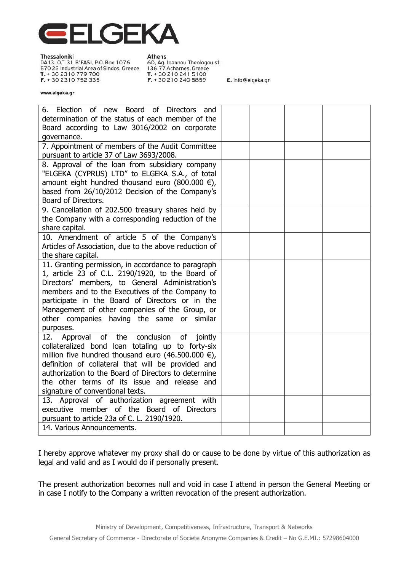

Thessaloniki DA 13, O.T. 31, B' FASI, P.O. Box 1076 570 22 Industrial Area of Sindos, Greece T. + 30 2310 779 700 F. + 30 2310 752 335

**Athens** 60, Ag. Ioannou Theologou st. 136 77 Acharnes, Greece T. + 30 210 241 5100 F. + 30 210 240 5859

E. info@elgeka.gr

#### www.elgeka.gr

| Election of new Board of Directors and<br>6.<br>determination of the status of each member of the<br>Board according to Law 3016/2002 on corporate<br>governance.                                                                                                                                                                                                               |  |  |
|---------------------------------------------------------------------------------------------------------------------------------------------------------------------------------------------------------------------------------------------------------------------------------------------------------------------------------------------------------------------------------|--|--|
| 7. Appointment of members of the Audit Committee<br>pursuant to article 37 of Law 3693/2008.                                                                                                                                                                                                                                                                                    |  |  |
| 8. Approval of the loan from subsidiary company<br>"ELGEKA (CYPRUS) LTD" to ELGEKA S.A., of total<br>amount eight hundred thousand euro (800.000 $\epsilon$ ),<br>based from 26/10/2012 Decision of the Company's<br>Board of Directors.                                                                                                                                        |  |  |
| 9. Cancellation of 202.500 treasury shares held by<br>the Company with a corresponding reduction of the<br>share capital.                                                                                                                                                                                                                                                       |  |  |
| 10. Amendment of article 5 of the Company's<br>Articles of Association, due to the above reduction of<br>the share capital.                                                                                                                                                                                                                                                     |  |  |
| 11. Granting permission, in accordance to paragraph<br>1, article 23 of C.L. 2190/1920, to the Board of<br>Directors' members, to General Administration's<br>members and to the Executives of the Company to<br>participate in the Board of Directors or in the<br>Management of other companies of the Group, or<br>other companies having the same or similar<br>purposes.   |  |  |
| of the<br>conclusion<br>Approval<br>of<br>jointly<br>12.<br>collateralized bond loan totaling up to forty-six<br>million five hundred thousand euro (46.500.000 $\epsilon$ ),<br>definition of collateral that will be provided and<br>authorization to the Board of Directors to determine<br>the other terms of its issue and release and<br>signature of conventional texts. |  |  |
| 13. Approval of authorization agreement with<br>executive member of the Board of Directors<br>pursuant to article 23a of C. L. 2190/1920.<br>14. Various Announcements.                                                                                                                                                                                                         |  |  |
|                                                                                                                                                                                                                                                                                                                                                                                 |  |  |

I hereby approve whatever my proxy shall do or cause to be done by virtue of this authorization as legal and valid and as I would do if personally present.

The present authorization becomes null and void in case I attend in person the General Meeting or in case I notify to the Company a written revocation of the present authorization.